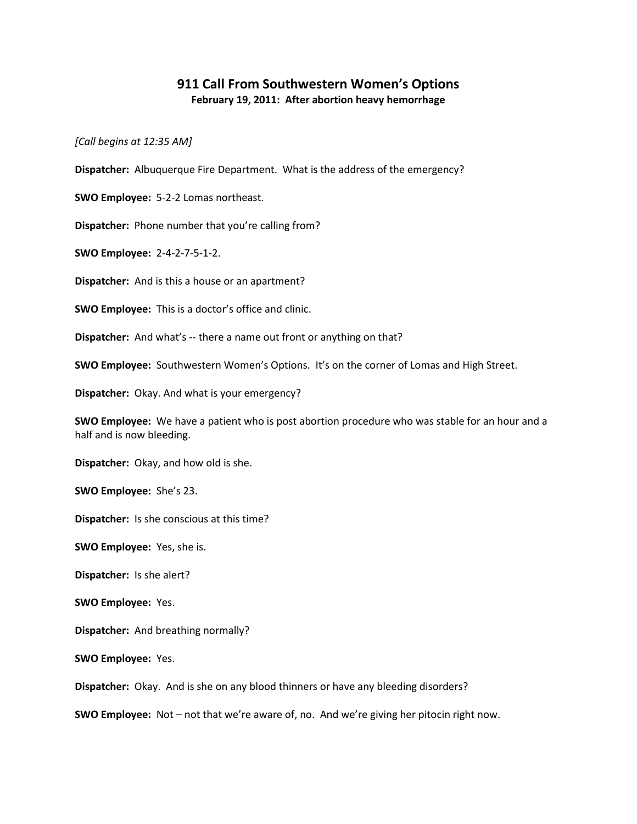## **911 Call From Southwestern Women's Options February 19, 2011: After abortion heavy hemorrhage**

*[Call begins at 12:35 AM]*

**Dispatcher:** Albuquerque Fire Department. What is the address of the emergency?

**SWO Employee:** 5-2-2 Lomas northeast.

**Dispatcher:** Phone number that you're calling from?

**SWO Employee:** 2-4-2-7-5-1-2.

**Dispatcher:** And is this a house or an apartment?

**SWO Employee:** This is a doctor's office and clinic.

**Dispatcher:** And what's -- there a name out front or anything on that?

**SWO Employee:** Southwestern Women's Options. It's on the corner of Lomas and High Street.

**Dispatcher:** Okay. And what is your emergency?

**SWO Employee:** We have a patient who is post abortion procedure who was stable for an hour and a half and is now bleeding.

**Dispatcher:** Okay, and how old is she.

**SWO Employee:** She's 23.

**Dispatcher:** Is she conscious at this time?

**SWO Employee:** Yes, she is.

**Dispatcher:** Is she alert?

**SWO Employee:** Yes.

**Dispatcher:** And breathing normally?

**SWO Employee:** Yes.

**Dispatcher:** Okay. And is she on any blood thinners or have any bleeding disorders?

**SWO Employee:** Not – not that we're aware of, no. And we're giving her pitocin right now.